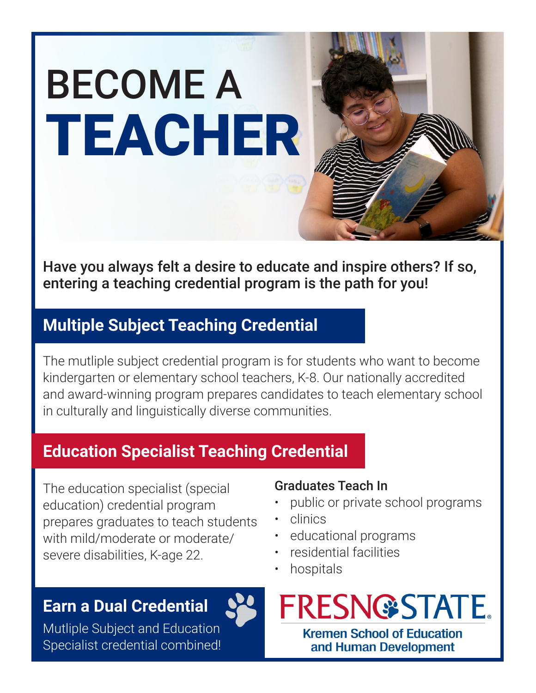

Have you always felt a desire to educate and inspire others? If so, entering a teaching credential program is the path for you!

# **Multiple Subject Teaching Credential**

The mutliple subject credential program is for students who want to become kindergarten or elementary school teachers, K-8. Our nationally accredited and award-winning program prepares candidates to teach elementary school in culturally and linguistically diverse communities.

# **Education Specialist Teaching Credential**

The education specialist (special education) credential program prepares graduates to teach students with mild/moderate or moderate/ severe disabilities, K-age 22.

#### **Earn a Dual Credential**

Mutliple Subject and Education Specialist credential combined!

#### Graduates Teach In

- public or private school programs
- clinics
- educational programs
- residential facilities
- hospitals



and Human Development